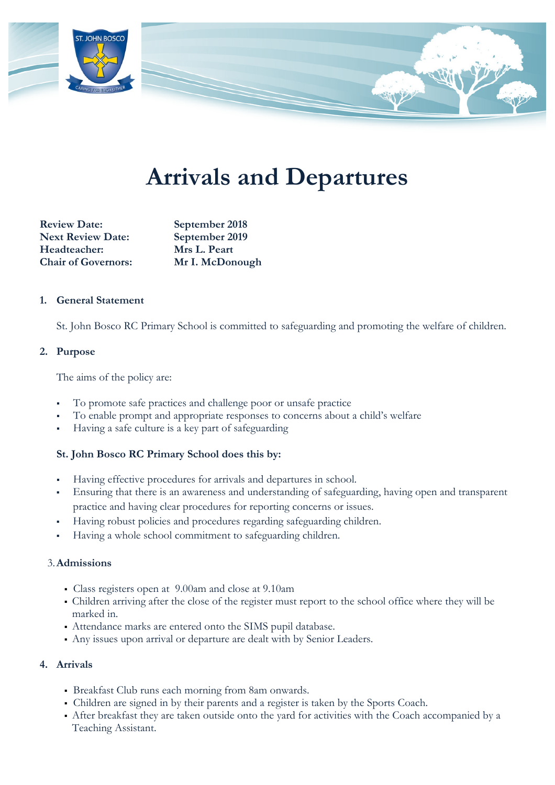

# **Arrivals and Departures**

**Review Date: September 2018 Next Review Date: September 2019 Headteacher: Mrs L. Peart Chair of Governors: Mr I. McDonough** 

## **1. General Statement**

St. John Bosco RC Primary School is committed to safeguarding and promoting the welfare of children.

### **2. Purpose**

The aims of the policy are:

- To promote safe practices and challenge poor or unsafe practice
- To enable prompt and appropriate responses to concerns about a child's welfare
- Having a safe culture is a key part of safeguarding

# **St. John Bosco RC Primary School does this by:**

- Having effective procedures for arrivals and departures in school.
- Ensuring that there is an awareness and understanding of safeguarding, having open and transparent practice and having clear procedures for reporting concerns or issues.
- Having robust policies and procedures regarding safeguarding children.
- Having a whole school commitment to safeguarding children.

#### 3.**Admissions**

- Class registers open at 9.00am and close at 9.10am
- Children arriving after the close of the register must report to the school office where they will be marked in.
- Attendance marks are entered onto the SIMS pupil database.
- Any issues upon arrival or departure are dealt with by Senior Leaders.

#### **4. Arrivals**

- Breakfast Club runs each morning from 8am onwards.
- Children are signed in by their parents and a register is taken by the Sports Coach.
- After breakfast they are taken outside onto the yard for activities with the Coach accompanied by a Teaching Assistant.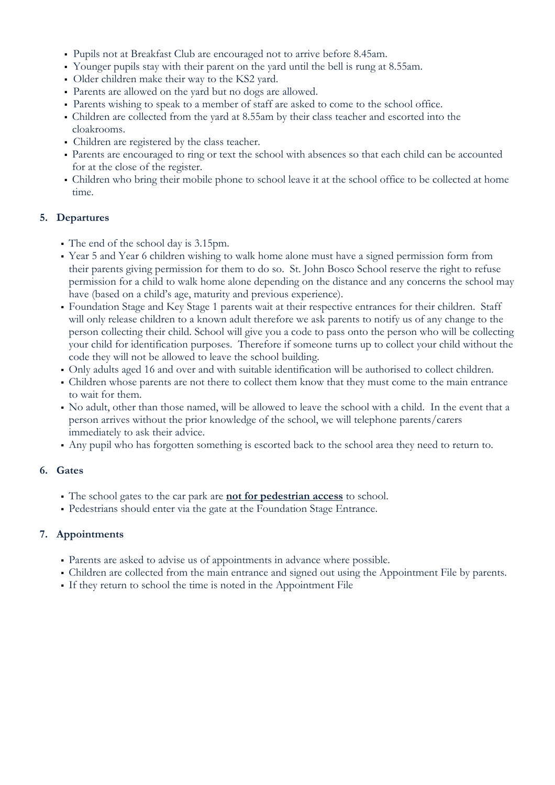- Pupils not at Breakfast Club are encouraged not to arrive before 8.45am.
- Younger pupils stay with their parent on the yard until the bell is rung at 8.55am.
- Older children make their way to the KS2 yard.
- Parents are allowed on the yard but no dogs are allowed.
- Parents wishing to speak to a member of staff are asked to come to the school office.
- Children are collected from the yard at 8.55am by their class teacher and escorted into the cloakrooms.
- Children are registered by the class teacher.
- Parents are encouraged to ring or text the school with absences so that each child can be accounted for at the close of the register.
- Children who bring their mobile phone to school leave it at the school office to be collected at home time.

# **5. Departures**

- The end of the school day is 3.15pm.
- Year 5 and Year 6 children wishing to walk home alone must have a signed permission form from their parents giving permission for them to do so. St. John Bosco School reserve the right to refuse permission for a child to walk home alone depending on the distance and any concerns the school may have (based on a child's age, maturity and previous experience).
- Foundation Stage and Key Stage 1 parents wait at their respective entrances for their children. Staff will only release children to a known adult therefore we ask parents to notify us of any change to the person collecting their child. School will give you a code to pass onto the person who will be collecting your child for identification purposes. Therefore if someone turns up to collect your child without the code they will not be allowed to leave the school building.
- Only adults aged 16 and over and with suitable identification will be authorised to collect children.
- Children whose parents are not there to collect them know that they must come to the main entrance to wait for them.
- No adult, other than those named, will be allowed to leave the school with a child. In the event that a person arrives without the prior knowledge of the school, we will telephone parents/carers immediately to ask their advice.
- Any pupil who has forgotten something is escorted back to the school area they need to return to.

# **6. Gates**

- The school gates to the car park are **not for pedestrian access** to school.
- Pedestrians should enter via the gate at the Foundation Stage Entrance.

# **7. Appointments**

- Parents are asked to advise us of appointments in advance where possible.
- Children are collected from the main entrance and signed out using the Appointment File by parents.
- If they return to school the time is noted in the Appointment File